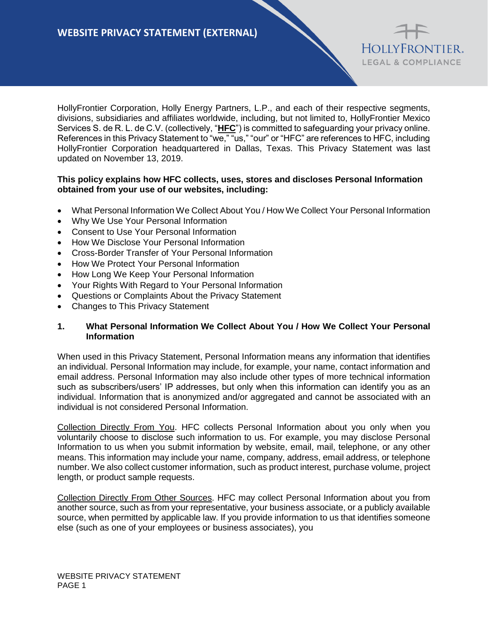HollyFrontier Corporation, Holly Energy Partners, L.P., and each of their respective segments, divisions, subsidiaries and affiliates worldwide, including, but not limited to, HollyFrontier Mexico Services S. de R. L. de C.V. (collectively, "**HFC**") is committed to safeguarding your privacy online. References in this Privacy Statement to "we," "us," "our" or "HFC" are references to HFC, including HollyFrontier Corporation headquartered in Dallas, Texas. This Privacy Statement was last updated on November 13, 2019.

HOLLYFRONTIER. LEGAL & COMPLIANCE

### **This policy explains how HFC collects, uses, stores and discloses Personal Information obtained from your use of our websites, including:**

- What Personal Information We Collect About You / How We Collect Your Personal Information
- Why We Use Your Personal Information
- Consent to Use Your Personal Information
- How We Disclose Your Personal Information
- Cross-Border Transfer of Your Personal Information
- How We Protect Your Personal Information
- How Long We Keep Your Personal Information
- Your Rights With Regard to Your Personal Information
- Questions or Complaints About the Privacy Statement
- Changes to This Privacy Statement

#### **1. What Personal Information We Collect About You / How We Collect Your Personal Information**

When used in this Privacy Statement, Personal Information means any information that identifies an individual. Personal Information may include, for example, your name, contact information and email address. Personal Information may also include other types of more technical information such as subscribers/users' IP addresses, but only when this information can identify you as an individual. Information that is anonymized and/or aggregated and cannot be associated with an individual is not considered Personal Information.

Collection Directly From You. HFC collects Personal Information about you only when you voluntarily choose to disclose such information to us. For example, you may disclose Personal Information to us when you submit information by website, email, mail, telephone, or any other means. This information may include your name, company, address, email address, or telephone number. We also collect customer information, such as product interest, purchase volume, project length, or product sample requests.

Collection Directly From Other Sources. HFC may collect Personal Information about you from another source, such as from your representative, your business associate, or a publicly available source, when permitted by applicable law. If you provide information to us that identifies someone else (such as one of your employees or business associates), you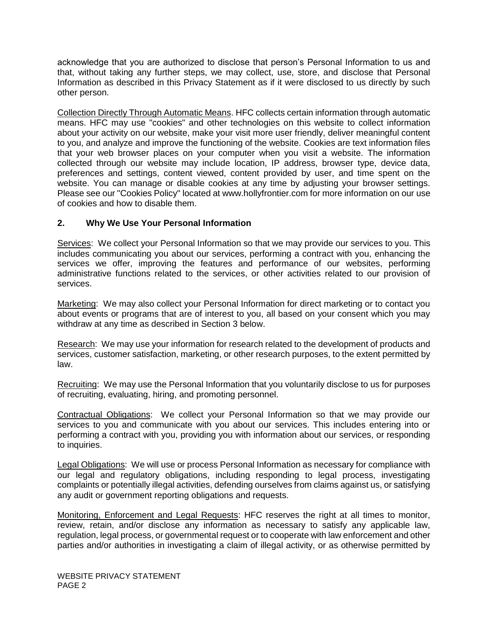acknowledge that you are authorized to disclose that person's Personal Information to us and that, without taking any further steps, we may collect, use, store, and disclose that Personal Information as described in this Privacy Statement as if it were disclosed to us directly by such other person.

Collection Directly Through Automatic Means. HFC collects certain information through automatic means. HFC may use "cookies" and other technologies on this website to collect information about your activity on our website, make your visit more user friendly, deliver meaningful content to you, and analyze and improve the functioning of the website. Cookies are text information files that your web browser places on your computer when you visit a website. The information collected through our website may include location, IP address, browser type, device data, preferences and settings, content viewed, content provided by user, and time spent on the website. You can manage or disable cookies at any time by adjusting your browser settings. Please see our "Cookies Policy" located at www.hollyfrontier.com for more information on our use of cookies and how to disable them.

## **2. Why We Use Your Personal Information**

Services: We collect your Personal Information so that we may provide our services to you. This includes communicating you about our services, performing a contract with you, enhancing the services we offer, improving the features and performance of our websites, performing administrative functions related to the services, or other activities related to our provision of services.

Marketing: We may also collect your Personal Information for direct marketing or to contact you about events or programs that are of interest to you, all based on your consent which you may withdraw at any time as described in Section 3 below.

Research: We may use your information for research related to the development of products and services, customer satisfaction, marketing, or other research purposes, to the extent permitted by law.

Recruiting: We may use the Personal Information that you voluntarily disclose to us for purposes of recruiting, evaluating, hiring, and promoting personnel.

Contractual Obligations: We collect your Personal Information so that we may provide our services to you and communicate with you about our services. This includes entering into or performing a contract with you, providing you with information about our services, or responding to inquiries.

Legal Obligations: We will use or process Personal Information as necessary for compliance with our legal and regulatory obligations, including responding to legal process, investigating complaints or potentially illegal activities, defending ourselves from claims against us, or satisfying any audit or government reporting obligations and requests.

Monitoring, Enforcement and Legal Requests: HFC reserves the right at all times to monitor, review, retain, and/or disclose any information as necessary to satisfy any applicable law, regulation, legal process, or governmental request or to cooperate with law enforcement and other parties and/or authorities in investigating a claim of illegal activity, or as otherwise permitted by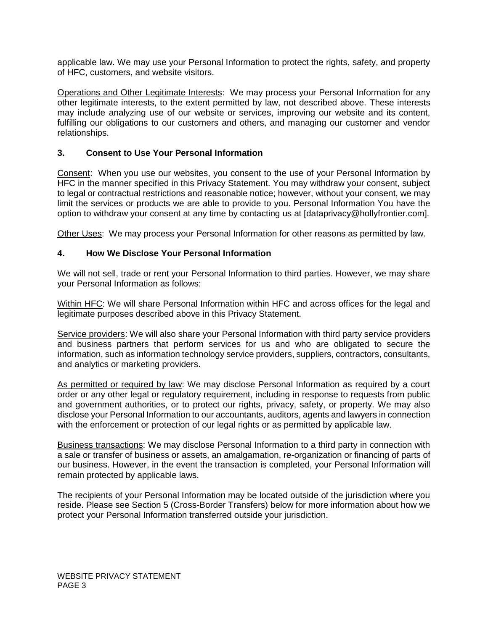applicable law. We may use your Personal Information to protect the rights, safety, and property of HFC, customers, and website visitors.

Operations and Other Legitimate Interests: We may process your Personal Information for any other legitimate interests, to the extent permitted by law, not described above. These interests may include analyzing use of our website or services, improving our website and its content, fulfilling our obligations to our customers and others, and managing our customer and vendor relationships.

## **3. Consent to Use Your Personal Information**

Consent: When you use our websites, you consent to the use of your Personal Information by HFC in the manner specified in this Privacy Statement. You may withdraw your consent, subject to legal or contractual restrictions and reasonable notice; however, without your consent, we may limit the services or products we are able to provide to you. Personal Information You have the option to withdraw your consent at any time by contacting us at [dataprivacy@hollyfrontier.com].

Other Uses: We may process your Personal Information for other reasons as permitted by law.

## **4. How We Disclose Your Personal Information**

We will not sell, trade or rent your Personal Information to third parties. However, we may share your Personal Information as follows:

Within HFC: We will share Personal Information within HFC and across offices for the legal and legitimate purposes described above in this Privacy Statement.

Service providers: We will also share your Personal Information with third party service providers and business partners that perform services for us and who are obligated to secure the information, such as information technology service providers, suppliers, contractors, consultants, and analytics or marketing providers.

As permitted or required by law: We may disclose Personal Information as required by a court order or any other legal or regulatory requirement, including in response to requests from public and government authorities, or to protect our rights, privacy, safety, or property. We may also disclose your Personal Information to our accountants, auditors, agents and lawyers in connection with the enforcement or protection of our legal rights or as permitted by applicable law.

Business transactions: We may disclose Personal Information to a third party in connection with a sale or transfer of business or assets, an amalgamation, re-organization or financing of parts of our business. However, in the event the transaction is completed, your Personal Information will remain protected by applicable laws.

The recipients of your Personal Information may be located outside of the jurisdiction where you reside. Please see Section 5 (Cross-Border Transfers) below for more information about how we protect your Personal Information transferred outside your jurisdiction.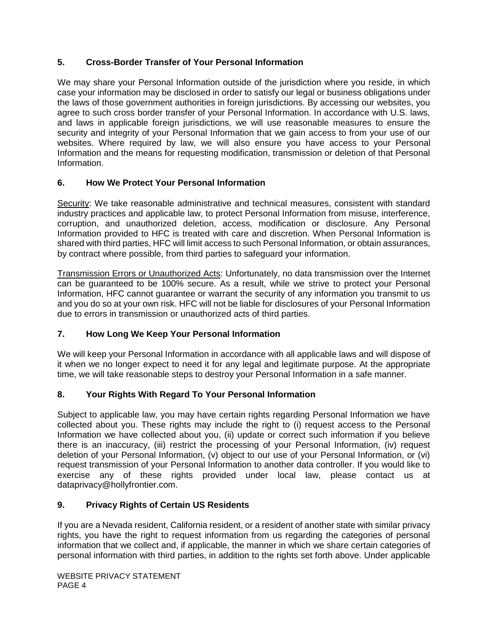# **5. Cross-Border Transfer of Your Personal Information**

We may share your Personal Information outside of the jurisdiction where you reside, in which case your information may be disclosed in order to satisfy our legal or business obligations under the laws of those government authorities in foreign jurisdictions. By accessing our websites, you agree to such cross border transfer of your Personal Information. In accordance with U.S. laws, and laws in applicable foreign jurisdictions, we will use reasonable measures to ensure the security and integrity of your Personal Information that we gain access to from your use of our websites. Where required by law, we will also ensure you have access to your Personal Information and the means for requesting modification, transmission or deletion of that Personal Information.

# **6. How We Protect Your Personal Information**

Security: We take reasonable administrative and technical measures, consistent with standard industry practices and applicable law, to protect Personal Information from misuse, interference, corruption, and unauthorized deletion, access, modification or disclosure. Any Personal Information provided to HFC is treated with care and discretion. When Personal Information is shared with third parties, HFC will limit access to such Personal Information, or obtain assurances, by contract where possible, from third parties to safeguard your information.

Transmission Errors or Unauthorized Acts: Unfortunately, no data transmission over the Internet can be guaranteed to be 100% secure. As a result, while we strive to protect your Personal Information, HFC cannot guarantee or warrant the security of any information you transmit to us and you do so at your own risk. HFC will not be liable for disclosures of your Personal Information due to errors in transmission or unauthorized acts of third parties.

# **7. How Long We Keep Your Personal Information**

We will keep your Personal Information in accordance with all applicable laws and will dispose of it when we no longer expect to need it for any legal and legitimate purpose. At the appropriate time, we will take reasonable steps to destroy your Personal Information in a safe manner.

# **8. Your Rights With Regard To Your Personal Information**

Subject to applicable law, you may have certain rights regarding Personal Information we have collected about you. These rights may include the right to (i) request access to the Personal Information we have collected about you, (ii) update or correct such information if you believe there is an inaccuracy, (iii) restrict the processing of your Personal Information, (iv) request deletion of your Personal Information, (v) object to our use of your Personal Information, or (vi) request transmission of your Personal Information to another data controller. If you would like to exercise any of these rights provided under local law, please contact us at dataprivacy@hollyfrontier.com.

# **9. Privacy Rights of Certain US Residents**

If you are a Nevada resident, California resident, or a resident of another state with similar privacy rights, you have the right to request information from us regarding the categories of personal information that we collect and, if applicable, the manner in which we share certain categories of personal information with third parties, in addition to the rights set forth above. Under applicable